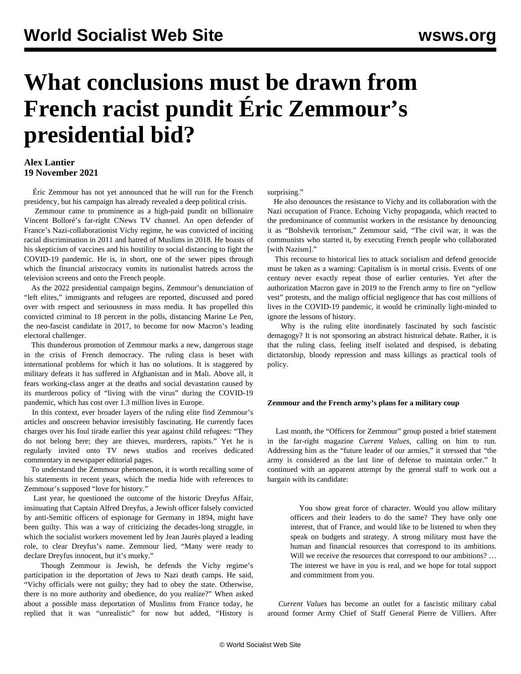## **What conclusions must be drawn from French racist pundit Éric Zemmour's presidential bid?**

## **Alex Lantier 19 November 2021**

 Éric Zemmour has not yet announced that he will run for the French presidency, but his campaign has already revealed a deep political crisis.

 Zemmour came to prominence as a high-paid pundit on billionaire Vincent Bolloré's far-right CNews TV channel. An open defender of France's Nazi-collaborationist Vichy regime, he was convicted of inciting racial discrimination in 2011 and hatred of Muslims in 2018. He boasts of his skepticism of vaccines and his hostility to social distancing to fight the COVID-19 pandemic. He is, in short, one of the sewer pipes through which the financial aristocracy vomits its nationalist hatreds across the television screens and onto the French people.

 As the 2022 presidential campaign begins, Zemmour's denunciation of "left elites," immigrants and refugees are reported, discussed and pored over with respect and seriousness in mass media. It has propelled this convicted criminal to 18 percent in the polls, distancing Marine Le Pen, the neo-fascist candidate in 2017, to become for now Macron's leading electoral challenger.

 This thunderous promotion of Zemmour marks a new, dangerous stage in the crisis of French democracy. The ruling class is beset with international problems for which it has no solutions. It is staggered by military defeats it has suffered in Afghanistan and in Mali. Above all, it fears working-class anger at the deaths and social devastation caused by its murderous policy of "living with the virus" during the COVID-19 pandemic, which has cost over 1.3 million lives in Europe.

 In this context, ever broader layers of the ruling elite find Zemmour's articles and onscreen behavior irresistibly fascinating. He currently faces charges over his foul tirade earlier this year against child refugees: "They do not belong here; they are thieves, murderers, rapists." Yet he is regularly invited onto TV news studios and receives dedicated commentary in newspaper editorial pages.

 To understand the Zemmour phenomenon, it is worth recalling some of his statements in recent years, which the media hide with references to Zemmour's supposed "love for history."

 Last year, he questioned the outcome of the historic Dreyfus Affair, insinuating that Captain Alfred Dreyfus, a Jewish officer falsely convicted by anti-Semitic officers of espionage for Germany in 1894, might have been guilty. This was a way of criticizing the decades-long struggle, in which the socialist workers movement led by Jean Jaurès played a leading role, to clear Dreyfus's name. Zemmour lied, "Many were ready to declare Dreyfus innocent, but it's murky."

 Though Zemmour is Jewish, he defends the Vichy regime's participation in the deportation of Jews to Nazi death camps. He said, "Vichy officials were not guilty; they had to obey the state. Otherwise, there is no more authority and obedience, do you realize?" When asked about a possible mass deportation of Muslims from France today, he replied that it was "unrealistic" for now but added, "History is surprising."

 He also denounces the resistance to Vichy and its collaboration with the Nazi occupation of France. Echoing Vichy propaganda, which reacted to the predominance of communist workers in the resistance by denouncing it as "Bolshevik terrorism," Zemmour said, "The civil war, it was the communists who started it, by executing French people who collaborated [with Nazism]."

 This recourse to historical lies to attack socialism and defend genocide must be taken as a warning: Capitalism is in mortal crisis. Events of one century never exactly repeat those of earlier centuries. Yet after the authorization Macron gave in 2019 to the French army to fire on "yellow vest" protests, and the malign official negligence that has cost millions of lives in the COVID-19 pandemic, it would be criminally light-minded to ignore the lessons of history.

 Why is the ruling elite inordinately fascinated by such fascistic demagogy? It is not sponsoring an abstract historical debate. Rather, it is that the ruling class, feeling itself isolated and despised, is debating dictatorship, bloody repression and mass killings as practical tools of policy.

## **Zemmour and the French army's plans for a military coup**

 Last month, the "Officers for Zemmour" group posted a brief statement in the far-right magazine *Current Values*, calling on him to run. Addressing him as the "future leader of our armies," it stressed that "the army is considered as the last line of defense to maintain order." It continued with an apparent attempt by the general staff to work out a bargain with its candidate:

 You show great force of character. Would you allow military officers and their leaders to do the same? They have only one interest, that of France, and would like to be listened to when they speak on budgets and strategy. A strong military must have the human and financial resources that correspond to its ambitions. Will we receive the resources that correspond to our ambitions? … The interest we have in you is real, and we hope for total support and commitment from you.

 *Current Values* has become an outlet for a fascistic military cabal around former Army Chief of Staff General Pierre de Villiers. After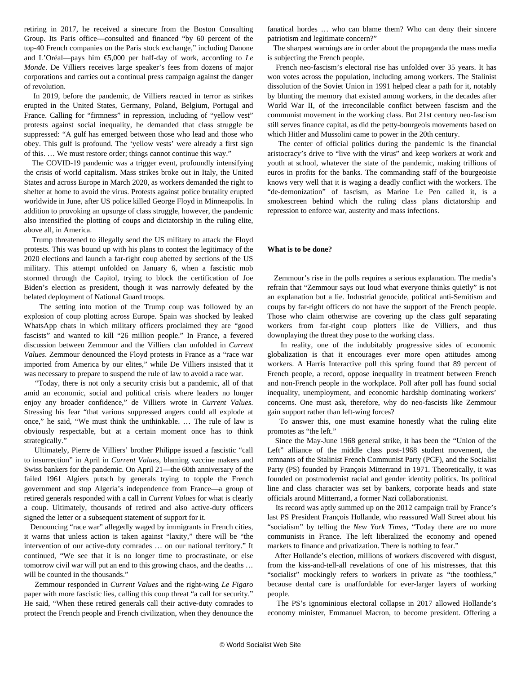retiring in 2017, he received a sinecure from the Boston Consulting Group. Its Paris office—consulted and financed "by 60 percent of the top-40 French companies on the Paris stock exchange," including Danone and L'Oréal—pays him €5,000 per half-day of work, according to *Le Monde*. De Villiers receives large speaker's fees from dozens of major corporations and carries out a continual press campaign against the danger of revolution.

 In 2019, before the pandemic, de Villiers reacted in terror as strikes erupted in the United States, Germany, Poland, Belgium, Portugal and France. Calling for "firmness" in repression, including of "yellow vest" protests against social inequality, he demanded that class struggle be suppressed: "A gulf has emerged between those who lead and those who obey. This gulf is profound. The 'yellow vests' were already a first sign of this. … We must restore order; things cannot continue this way."

 The COVID-19 pandemic was a trigger event, profoundly intensifying the crisis of world capitalism. Mass strikes broke out in Italy, the United States and across Europe in March 2020, as workers demanded the right to shelter at home to avoid the virus. Protests against police brutality erupted worldwide in June, after US police killed George Floyd in Minneapolis. In addition to provoking an upsurge of class struggle, however, the pandemic also intensified the plotting of coups and dictatorship in the ruling elite, above all, in America.

 Trump threatened to illegally send the US military to attack the Floyd protests. This was bound up with his plans to contest the legitimacy of the 2020 elections and launch a far-right coup abetted by sections of the US military. This attempt unfolded on January 6, when a fascistic mob stormed through the Capitol, trying to block the certification of Joe Biden's election as president, though it was narrowly defeated by the belated deployment of National Guard troops.

 The setting into motion of the Trump coup was followed by an explosion of coup plotting across Europe. Spain was shocked by leaked WhatsApp chats in which military officers proclaimed they are "good fascists" and wanted to kill "26 million people." In France, a fevered discussion between Zemmour and the Villiers clan unfolded in *Current Values*. Zemmour denounced the Floyd protests in France as a "race war imported from America by our elites," while De Villiers insisted that it was necessary to prepare to suspend the rule of law to avoid a race war.

 "Today, there is not only a security crisis but a pandemic, all of that amid an economic, social and political crisis where leaders no longer enjoy any broader confidence," de Villiers wrote in *Current Values*. Stressing his fear "that various suppressed angers could all explode at once," he said, "We must think the unthinkable. … The rule of law is obviously respectable, but at a certain moment once has to think strategically."

 Ultimately, Pierre de Villiers' brother Philippe issued a fascistic "call to insurrection" in April in *Current Values*, blaming vaccine makers and Swiss bankers for the pandemic. On April 21—the 60th anniversary of the failed 1961 Algiers putsch by generals trying to topple the French government and stop Algeria's independence from France—a group of retired generals responded with a call in *Current Values* for what is clearly a coup. Ultimately, thousands of retired and also active-duty officers signed the letter or a subsequent statement of support for it.

 Denouncing "race war" allegedly waged by immigrants in French cities, it warns that unless action is taken against "laxity," there will be "the intervention of our active-duty comrades … on our national territory." It continued, "We see that it is no longer time to procrastinate, or else tomorrow civil war will put an end to this growing chaos, and the deaths … will be counted in the thousands."

 Zemmour responded in *Current Values* and the right-wing *Le Figaro* paper with more fascistic lies, calling this coup threat "a call for security." He said, "When these retired generals call their active-duty comrades to protect the French people and French civilization, when they denounce the fanatical hordes … who can blame them? Who can deny their sincere patriotism and legitimate concern?"

 The sharpest warnings are in order about the propaganda the mass media is subjecting the French people.

 French neo-fascism's electoral rise has unfolded over 35 years. It has won votes across the population, including among workers. The Stalinist dissolution of the Soviet Union in 1991 helped clear a path for it, notably by blunting the memory that existed among workers, in the decades after World War II, of the irreconcilable conflict between fascism and the communist movement in the working class. But 21st century neo-fascism still serves finance capital, as did the petty-bourgeois movements based on which Hitler and Mussolini came to power in the 20th century.

 The center of official politics during the pandemic is the financial aristocracy's drive to "live with the virus" and keep workers at work and youth at school, whatever the state of the pandemic, making trillions of euros in profits for the banks. The commanding staff of the bourgeoisie knows very well that it is waging a deadly conflict with the workers. The "de-demonization" of fascism, as Marine Le Pen called it, is a smokescreen behind which the ruling class plans dictatorship and repression to enforce war, austerity and mass infections.

## **What is to be done?**

 Zemmour's rise in the polls requires a serious explanation. The media's refrain that "Zemmour says out loud what everyone thinks quietly" is not an explanation but a lie. Industrial genocide, political anti-Semitism and coups by far-right officers do not have the support of the French people. Those who claim otherwise are covering up the class gulf separating workers from far-right coup plotters like de Villiers, and thus downplaying the threat they pose to the working class.

 In reality, one of the indubitably progressive sides of economic globalization is that it encourages ever more open attitudes among workers. A Harris Interactive poll this spring found that 89 percent of French people, a record, oppose inequality in treatment between French and non-French people in the workplace. Poll after poll has found social inequality, unemployment, and economic hardship dominating workers' concerns. One must ask, therefore, why do neo-fascists like Zemmour gain support rather than left-wing forces?

 To answer this, one must examine honestly what the ruling elite promotes as "the left."

 Since the May-June 1968 general strike, it has been the "Union of the Left" alliance of the middle class post-1968 student movement, the remnants of the Stalinist French Communist Party (PCF), and the Socialist Party (PS) founded by François Mitterrand in 1971. Theoretically, it was founded on postmodernist racial and gender identity politics. Its political line and class character was set by bankers, corporate heads and state officials around Mitterrand, a former Nazi collaborationist.

 Its record was aptly summed up on the 2012 campaign trail by France's last PS President François Hollande, who reassured Wall Street about his "socialism" by telling the *New York Times*, "Today there are no more communists in France. The left liberalized the economy and opened markets to finance and privatization. There is nothing to fear."

 After Hollande's election, millions of workers discovered with disgust, from the kiss-and-tell-all revelations of one of his mistresses, that this "socialist" mockingly refers to workers in private as "the toothless," because dental care is unaffordable for ever-larger layers of working people.

 The PS's ignominious electoral collapse in 2017 allowed Hollande's economy minister, Emmanuel Macron, to become president. Offering a